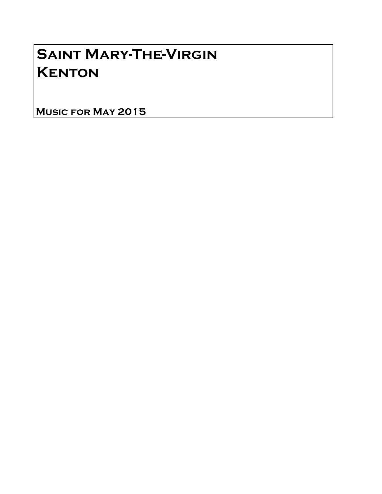## Saint Mary-The-Virgin **KENTON**

Music for May 2015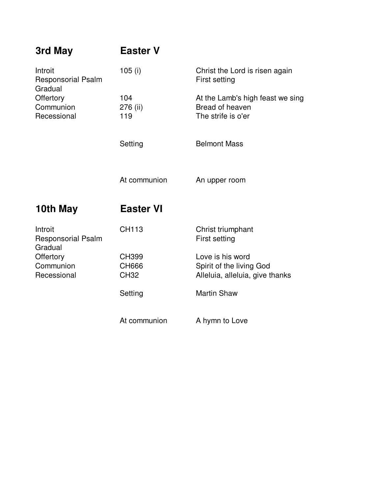| 3rd May                                         | <b>Easter V</b>                      |                                                                                 |
|-------------------------------------------------|--------------------------------------|---------------------------------------------------------------------------------|
| Introit<br><b>Responsorial Psalm</b><br>Gradual | 105(i)                               | Christ the Lord is risen again<br>First setting                                 |
| Offertory<br>Communion<br>Recessional           | 104<br>276 (ii)<br>119               | At the Lamb's high feast we sing<br>Bread of heaven<br>The strife is o'er       |
|                                                 | Setting                              | <b>Belmont Mass</b>                                                             |
|                                                 | At communion                         | An upper room                                                                   |
| 10th May                                        | <b>Easter VI</b>                     |                                                                                 |
| Introit<br><b>Responsorial Psalm</b><br>Gradual | <b>CH113</b>                         | Christ triumphant<br>First setting                                              |
| Offertory<br>Communion<br>Recessional           |                                      |                                                                                 |
|                                                 | <b>CH399</b><br>CH666<br><b>CH32</b> | Love is his word<br>Spirit of the living God<br>Alleluia, alleluia, give thanks |
|                                                 | Setting                              | <b>Martin Shaw</b>                                                              |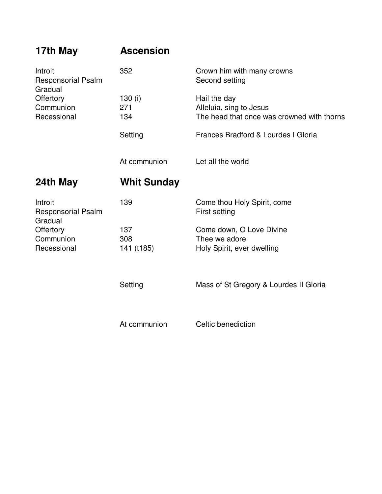| 17th May                                                                                 | <b>Ascension</b>         |                                                                                       |
|------------------------------------------------------------------------------------------|--------------------------|---------------------------------------------------------------------------------------|
| Introit<br><b>Responsorial Psalm</b><br>Gradual<br>Offertory<br>Communion<br>Recessional | 352                      | Crown him with many crowns<br>Second setting                                          |
|                                                                                          | 130 $(i)$<br>271<br>134  | Hail the day<br>Alleluia, sing to Jesus<br>The head that once was crowned with thorns |
|                                                                                          | Setting                  | Frances Bradford & Lourdes I Gloria                                                   |
|                                                                                          | At communion             | Let all the world                                                                     |
| 24th May                                                                                 | <b>Whit Sunday</b>       |                                                                                       |
| Introit<br><b>Responsorial Psalm</b><br>Gradual                                          | 139                      | Come thou Holy Spirit, come<br>First setting                                          |
| Offertory<br>Communion<br>Recessional                                                    | 137<br>308<br>141 (t185) | Come down, O Love Divine<br>Thee we adore<br>Holy Spirit, ever dwelling               |
|                                                                                          | Setting                  | Mass of St Gregory & Lourdes II Gloria                                                |
|                                                                                          | At communion             | Celtic benediction                                                                    |